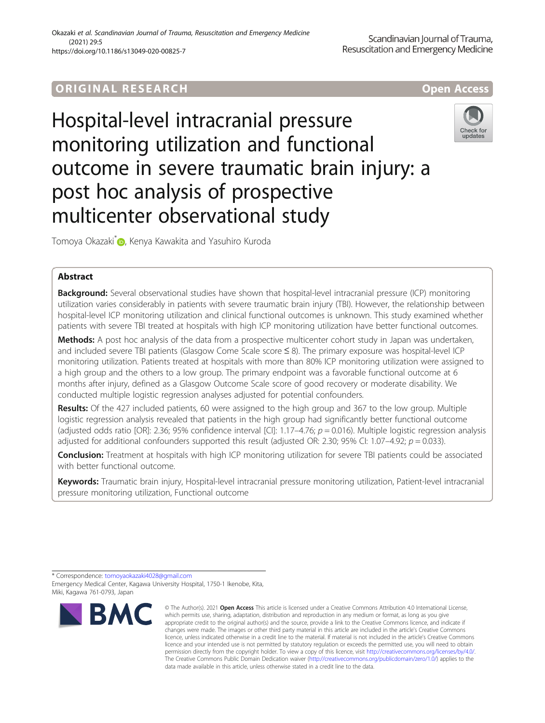# ORIGINA L R E S EA RCH Open Access

# Hospital-level intracranial pressure monitoring utilization and functional outcome in severe traumatic brain injury: a post hoc analysis of prospective multicenter observational study



Tomoya Okazaki<sup>\*</sup> D[,](http://orcid.org/0000-0002-0540-8772) Kenya Kawakita and Yasuhiro Kuroda

# Abstract

**Background:** Several observational studies have shown that hospital-level intracranial pressure (ICP) monitoring utilization varies considerably in patients with severe traumatic brain injury (TBI). However, the relationship between hospital-level ICP monitoring utilization and clinical functional outcomes is unknown. This study examined whether patients with severe TBI treated at hospitals with high ICP monitoring utilization have better functional outcomes.

Methods: A post hoc analysis of the data from a prospective multicenter cohort study in Japan was undertaken, and included severe TBI patients (Glasgow Come Scale score ≤ 8). The primary exposure was hospital-level ICP monitoring utilization. Patients treated at hospitals with more than 80% ICP monitoring utilization were assigned to a high group and the others to a low group. The primary endpoint was a favorable functional outcome at 6 months after injury, defined as a Glasgow Outcome Scale score of good recovery or moderate disability. We conducted multiple logistic regression analyses adjusted for potential confounders.

Results: Of the 427 included patients, 60 were assigned to the high group and 367 to the low group. Multiple logistic regression analysis revealed that patients in the high group had significantly better functional outcome (adjusted odds ratio [OR]: 2.36; 95% confidence interval [CI]: 1.17–4.76;  $p = 0.016$ ). Multiple logistic regression analysis adjusted for additional confounders supported this result (adjusted OR: 2.30; 95% CI: 1.07–4.92;  $p = 0.033$ ).

Conclusion: Treatment at hospitals with high ICP monitoring utilization for severe TBI patients could be associated with better functional outcome.

Keywords: Traumatic brain injury, Hospital-level intracranial pressure monitoring utilization, Patient-level intracranial pressure monitoring utilization, Functional outcome

Emergency Medical Center, Kagawa University Hospital, 1750-1 Ikenobe, Kita, Miki, Kagawa 761-0793, Japan



<sup>©</sup> The Author(s), 2021 **Open Access** This article is licensed under a Creative Commons Attribution 4.0 International License, which permits use, sharing, adaptation, distribution and reproduction in any medium or format, as long as you give appropriate credit to the original author(s) and the source, provide a link to the Creative Commons licence, and indicate if changes were made. The images or other third party material in this article are included in the article's Creative Commons licence, unless indicated otherwise in a credit line to the material. If material is not included in the article's Creative Commons licence and your intended use is not permitted by statutory regulation or exceeds the permitted use, you will need to obtain permission directly from the copyright holder. To view a copy of this licence, visit [http://creativecommons.org/licenses/by/4.0/.](http://creativecommons.org/licenses/by/4.0/) The Creative Commons Public Domain Dedication waiver [\(http://creativecommons.org/publicdomain/zero/1.0/](http://creativecommons.org/publicdomain/zero/1.0/)) applies to the data made available in this article, unless otherwise stated in a credit line to the data.

<sup>\*</sup> Correspondence: [tomoyaokazaki4028@gmail.com](mailto:tomoyaokazaki4028@gmail.com)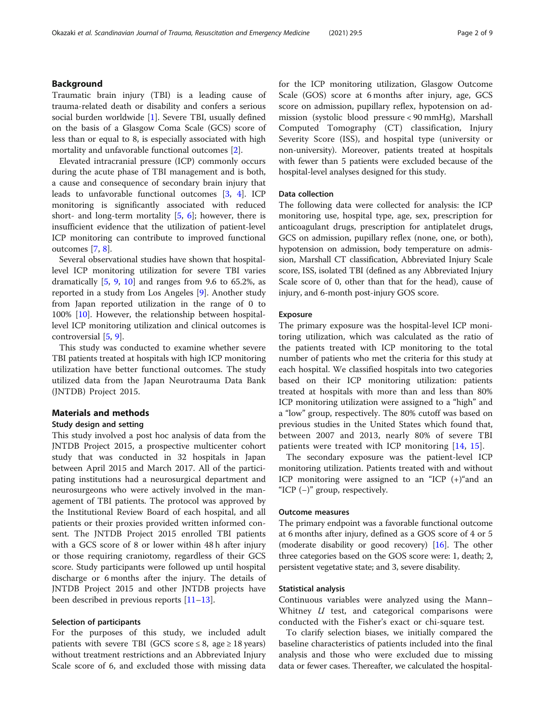# Background

Traumatic brain injury (TBI) is a leading cause of trauma-related death or disability and confers a serious social burden worldwide [\[1](#page-8-0)]. Severe TBI, usually defined on the basis of a Glasgow Coma Scale (GCS) score of less than or equal to 8, is especially associated with high mortality and unfavorable functional outcomes [\[2](#page-8-0)].

Elevated intracranial pressure (ICP) commonly occurs during the acute phase of TBI management and is both, a cause and consequence of secondary brain injury that leads to unfavorable functional outcomes [\[3](#page-8-0), [4\]](#page-8-0). ICP monitoring is significantly associated with reduced short- and long-term mortality  $[5, 6]$  $[5, 6]$  $[5, 6]$  $[5, 6]$ ; however, there is insufficient evidence that the utilization of patient-level ICP monitoring can contribute to improved functional outcomes [\[7](#page-8-0), [8](#page-8-0)].

Several observational studies have shown that hospitallevel ICP monitoring utilization for severe TBI varies dramatically  $[5, 9, 10]$  $[5, 9, 10]$  $[5, 9, 10]$  $[5, 9, 10]$  $[5, 9, 10]$  $[5, 9, 10]$  $[5, 9, 10]$  and ranges from 9.6 to 65.2%, as reported in a study from Los Angeles [[9\]](#page-8-0). Another study from Japan reported utilization in the range of 0 to 100% [[10](#page-8-0)]. However, the relationship between hospitallevel ICP monitoring utilization and clinical outcomes is controversial [[5](#page-8-0), [9](#page-8-0)].

This study was conducted to examine whether severe TBI patients treated at hospitals with high ICP monitoring utilization have better functional outcomes. The study utilized data from the Japan Neurotrauma Data Bank (JNTDB) Project 2015.

# Materials and methods

#### Study design and setting

This study involved a post hoc analysis of data from the JNTDB Project 2015, a prospective multicenter cohort study that was conducted in 32 hospitals in Japan between April 2015 and March 2017. All of the participating institutions had a neurosurgical department and neurosurgeons who were actively involved in the management of TBI patients. The protocol was approved by the Institutional Review Board of each hospital, and all patients or their proxies provided written informed consent. The JNTDB Project 2015 enrolled TBI patients with a GCS score of 8 or lower within 48 h after injury or those requiring craniotomy, regardless of their GCS score. Study participants were followed up until hospital discharge or 6 months after the injury. The details of JNTDB Project 2015 and other JNTDB projects have been described in previous reports [\[11](#page-8-0)–[13\]](#page-8-0).

# Selection of participants

For the purposes of this study, we included adult patients with severe TBI (GCS score  $\leq 8$ , age  $\geq 18$  years) without treatment restrictions and an Abbreviated Injury Scale score of 6, and excluded those with missing data for the ICP monitoring utilization, Glasgow Outcome Scale (GOS) score at 6 months after injury, age, GCS score on admission, pupillary reflex, hypotension on admission (systolic blood pressure < 90 mmHg), Marshall Computed Tomography (CT) classification, Injury Severity Score (ISS), and hospital type (university or non-university). Moreover, patients treated at hospitals with fewer than 5 patients were excluded because of the hospital-level analyses designed for this study.

# Data collection

The following data were collected for analysis: the ICP monitoring use, hospital type, age, sex, prescription for anticoagulant drugs, prescription for antiplatelet drugs, GCS on admission, pupillary reflex (none, one, or both), hypotension on admission, body temperature on admission, Marshall CT classification, Abbreviated Injury Scale score, ISS, isolated TBI (defined as any Abbreviated Injury Scale score of 0, other than that for the head), cause of injury, and 6-month post-injury GOS score.

#### Exposure

The primary exposure was the hospital-level ICP monitoring utilization, which was calculated as the ratio of the patients treated with ICP monitoring to the total number of patients who met the criteria for this study at each hospital. We classified hospitals into two categories based on their ICP monitoring utilization: patients treated at hospitals with more than and less than 80% ICP monitoring utilization were assigned to a "high" and a "low" group, respectively. The 80% cutoff was based on previous studies in the United States which found that, between 2007 and 2013, nearly 80% of severe TBI patients were treated with ICP monitoring [[14,](#page-8-0) [15](#page-8-0)].

The secondary exposure was the patient-level ICP monitoring utilization. Patients treated with and without ICP monitoring were assigned to an "ICP (+)"and an "ICP  $(-)$ " group, respectively.

#### Outcome measures

The primary endpoint was a favorable functional outcome at 6 months after injury, defined as a GOS score of 4 or 5 (moderate disability or good recovery) [[16\]](#page-8-0). The other three categories based on the GOS score were: 1, death; 2, persistent vegetative state; and 3, severe disability.

### Statistical analysis

Continuous variables were analyzed using the Mann– Whitney *U* test, and categorical comparisons were conducted with the Fisher's exact or chi-square test.

To clarify selection biases, we initially compared the baseline characteristics of patients included into the final analysis and those who were excluded due to missing data or fewer cases. Thereafter, we calculated the hospital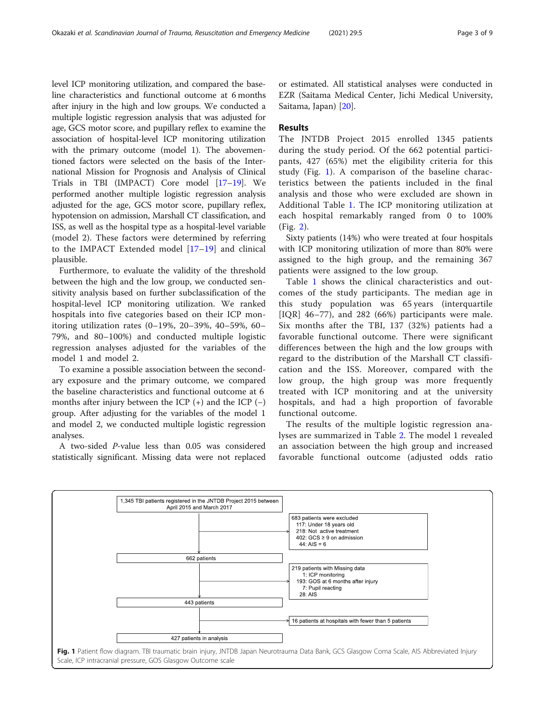<span id="page-2-0"></span>level ICP monitoring utilization, and compared the baseline characteristics and functional outcome at 6 months after injury in the high and low groups. We conducted a multiple logistic regression analysis that was adjusted for age, GCS motor score, and pupillary reflex to examine the association of hospital-level ICP monitoring utilization with the primary outcome (model 1). The abovementioned factors were selected on the basis of the International Mission for Prognosis and Analysis of Clinical Trials in TBI (IMPACT) Core model [[17](#page-8-0)–[19\]](#page-8-0). We performed another multiple logistic regression analysis adjusted for the age, GCS motor score, pupillary reflex, hypotension on admission, Marshall CT classification, and ISS, as well as the hospital type as a hospital-level variable (model 2). These factors were determined by referring to the IMPACT Extended model [\[17](#page-8-0)–[19](#page-8-0)] and clinical plausible.

Furthermore, to evaluate the validity of the threshold between the high and the low group, we conducted sensitivity analysis based on further subclassification of the hospital-level ICP monitoring utilization. We ranked hospitals into five categories based on their ICP monitoring utilization rates (0–19%, 20–39%, 40–59%, 60– 79%, and 80–100%) and conducted multiple logistic regression analyses adjusted for the variables of the model 1 and model 2.

To examine a possible association between the secondary exposure and the primary outcome, we compared the baseline characteristics and functional outcome at 6 months after injury between the ICP  $(+)$  and the ICP  $(-)$ group. After adjusting for the variables of the model 1 and model 2, we conducted multiple logistic regression analyses.

A two-sided P-value less than 0.05 was considered statistically significant. Missing data were not replaced or estimated. All statistical analyses were conducted in EZR (Saitama Medical Center, Jichi Medical University, Saitama, Japan) [[20\]](#page-8-0).

#### Results

The JNTDB Project 2015 enrolled 1345 patients during the study period. Of the 662 potential participants, 427 (65%) met the eligibility criteria for this study (Fig. 1). A comparison of the baseline characteristics between the patients included in the final analysis and those who were excluded are shown in Additional Table [1](#page-7-0). The ICP monitoring utilization at each hospital remarkably ranged from 0 to 100% (Fig. [2](#page-3-0)).

Sixty patients (14%) who were treated at four hospitals with ICP monitoring utilization of more than 80% were assigned to the high group, and the remaining 367 patients were assigned to the low group.

Table [1](#page-4-0) shows the clinical characteristics and outcomes of the study participants. The median age in this study population was 65 years (interquartile [IQR] 46–77), and 282 (66%) participants were male. Six months after the TBI, 137 (32%) patients had a favorable functional outcome. There were significant differences between the high and the low groups with regard to the distribution of the Marshall CT classification and the ISS. Moreover, compared with the low group, the high group was more frequently treated with ICP monitoring and at the university hospitals, and had a high proportion of favorable functional outcome.

The results of the multiple logistic regression analyses are summarized in Table [2](#page-5-0). The model 1 revealed an association between the high group and increased favorable functional outcome (adjusted odds ratio

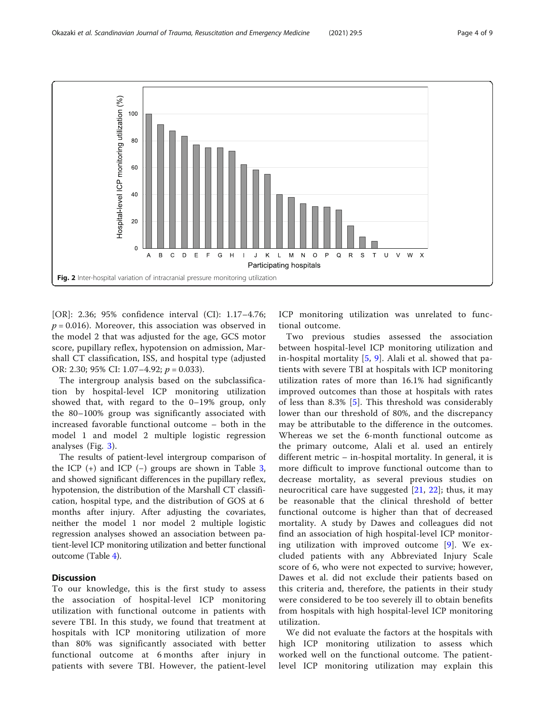<span id="page-3-0"></span>

[OR]: 2.36; 95% confidence interval (CI): 1.17–4.76;  $p = 0.016$ ). Moreover, this association was observed in the model 2 that was adjusted for the age, GCS motor score, pupillary reflex, hypotension on admission, Marshall CT classification, ISS, and hospital type (adjusted OR: 2.30; 95% CI: 1.07–4.92; p = 0.033).

The intergroup analysis based on the subclassification by hospital-level ICP monitoring utilization showed that, with regard to the 0–19% group, only the 80–100% group was significantly associated with increased favorable functional outcome – both in the model 1 and model 2 multiple logistic regression analyses (Fig. [3](#page-5-0)).

The results of patient-level intergroup comparison of the ICP  $(+)$  and ICP  $(-)$  groups are shown in Table [3](#page-6-0), and showed significant differences in the pupillary reflex, hypotension, the distribution of the Marshall CT classification, hospital type, and the distribution of GOS at 6 months after injury. After adjusting the covariates, neither the model 1 nor model 2 multiple logistic regression analyses showed an association between patient-level ICP monitoring utilization and better functional outcome (Table [4\)](#page-7-0).

# **Discussion**

To our knowledge, this is the first study to assess the association of hospital-level ICP monitoring utilization with functional outcome in patients with severe TBI. In this study, we found that treatment at hospitals with ICP monitoring utilization of more than 80% was significantly associated with better functional outcome at 6 months after injury in patients with severe TBI. However, the patient-level ICP monitoring utilization was unrelated to functional outcome.

Two previous studies assessed the association between hospital-level ICP monitoring utilization and in-hospital mortality [[5,](#page-8-0) [9](#page-8-0)]. Alali et al. showed that patients with severe TBI at hospitals with ICP monitoring utilization rates of more than 16.1% had significantly improved outcomes than those at hospitals with rates of less than 8.3% [\[5](#page-8-0)]. This threshold was considerably lower than our threshold of 80%, and the discrepancy may be attributable to the difference in the outcomes. Whereas we set the 6-month functional outcome as the primary outcome, Alali et al. used an entirely different metric – in-hospital mortality. In general, it is more difficult to improve functional outcome than to decrease mortality, as several previous studies on neurocritical care have suggested [[21](#page-8-0), [22\]](#page-8-0); thus, it may be reasonable that the clinical threshold of better functional outcome is higher than that of decreased mortality. A study by Dawes and colleagues did not find an association of high hospital-level ICP monitoring utilization with improved outcome [\[9\]](#page-8-0). We excluded patients with any Abbreviated Injury Scale score of 6, who were not expected to survive; however, Dawes et al. did not exclude their patients based on this criteria and, therefore, the patients in their study were considered to be too severely ill to obtain benefits from hospitals with high hospital-level ICP monitoring utilization.

We did not evaluate the factors at the hospitals with high ICP monitoring utilization to assess which worked well on the functional outcome. The patientlevel ICP monitoring utilization may explain this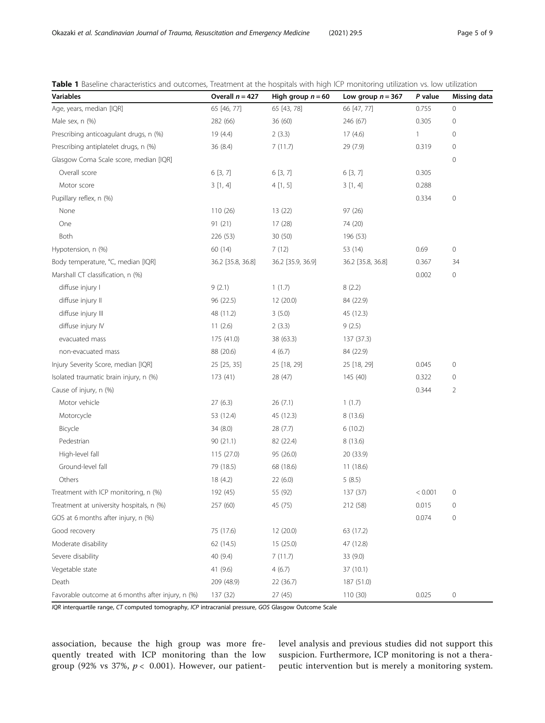| <b>Variables</b>                                  | Overall $n = 427$ | High group $n = 60$ | Low group $n = 367$ | P value      | <b>Missing data</b> |
|---------------------------------------------------|-------------------|---------------------|---------------------|--------------|---------------------|
| Age, years, median [IQR]                          | 65 [46, 77]       | 65 [43, 78]         | 66 [47, 77]         | 0.755        | 0                   |
| Male sex, n (%)                                   | 282 (66)          | 36 (60)             | 246 (67)            | 0.305        | 0                   |
| Prescribing anticoagulant drugs, n (%)            | 19 (4.4)          | 2(3.3)              | 17(4.6)             | $\mathbf{1}$ | 0                   |
| Prescribing antiplatelet drugs, n (%)             | 36 (8.4)          | 7(11.7)             | 29 (7.9)            | 0.319        | $\mathsf{O}\xspace$ |
| Glasgow Coma Scale score, median [IQR]            |                   |                     |                     |              | 0                   |
| Overall score                                     | 6[3, 7]           | 6[3, 7]             | 6[3, 7]             | 0.305        |                     |
| Motor score                                       | 3[1, 4]           | 4[1, 5]             | 3[1, 4]             | 0.288        |                     |
| Pupillary reflex, n (%)                           |                   |                     |                     | 0.334        | 0                   |
| None                                              | 110(26)           | 13(22)              | 97(26)              |              |                     |
| One                                               | 91(21)            | 17(28)              | 74 (20)             |              |                     |
| Both                                              | 226 (53)          | 30 (50)             | 196 (53)            |              |                     |
| Hypotension, n (%)                                | 60 (14)           | 7(12)               | 53 (14)             | 0.69         | $\mathsf{O}\xspace$ |
| Body temperature, °C, median [IQR]                | 36.2 [35.8, 36.8] | 36.2 [35.9, 36.9]   | 36.2 [35.8, 36.8]   | 0.367        | 34                  |
| Marshall CT classification, n (%)                 |                   |                     |                     | 0.002        | $\mathsf{O}\xspace$ |
| diffuse injury I                                  | 9(2.1)            | 1(1.7)              | 8(2.2)              |              |                     |
| diffuse injury II                                 | 96 (22.5)         | 12 (20.0)           | 84 (22.9)           |              |                     |
| diffuse injury III                                | 48 (11.2)         | 3(5.0)              | 45 (12.3)           |              |                     |
| diffuse injury IV                                 | 11(2.6)           | 2(3.3)              | 9(2.5)              |              |                     |
| evacuated mass                                    | 175 (41.0)        | 38 (63.3)           | 137 (37.3)          |              |                     |
| non-evacuated mass                                | 88 (20.6)         | 4(6.7)              | 84 (22.9)           |              |                     |
| Injury Severity Score, median [IQR]               | 25 [25, 35]       | 25 [18, 29]         | 25 [18, 29]         | 0.045        | 0                   |
| Isolated traumatic brain injury, n (%)            | 173 (41)          | 28 (47)             | 145 (40)            | 0.322        | 0                   |
| Cause of injury, n (%)                            |                   |                     |                     | 0.344        | $\overline{2}$      |
| Motor vehicle                                     | 27(6.3)           | 26(7.1)             | 1(1.7)              |              |                     |
| Motorcycle                                        | 53 (12.4)         | 45 (12.3)           | 8(13.6)             |              |                     |
| Bicycle                                           | 34 (8.0)          | 28(7.7)             | 6(10.2)             |              |                     |
| Pedestrian                                        | 90(21.1)          | 82 (22.4)           | 8(13.6)             |              |                     |
| High-level fall                                   | 115(27.0)         | 95 (26.0)           | 20 (33.9)           |              |                     |
| Ground-level fall                                 | 79 (18.5)         | 68 (18.6)           | 11(18.6)            |              |                     |
| Others                                            | 18 (4.2)          | 22(6.0)             | 5(8.5)              |              |                     |
| Treatment with ICP monitoring, n (%)              | 192 (45)          | 55 (92)             | 137 (37)            | < 0.001      | 0                   |
| Treatment at university hospitals, n (%)          | 257 (60)          | 45 (75)             | 212 (58)            | 0.015        | 0                   |
| GOS at 6 months after injury, n (%)               |                   |                     |                     | 0.074        | 0                   |
| Good recovery                                     | 75 (17.6)         | 12 (20.0)           | 63 (17.2)           |              |                     |
| Moderate disability                               | 62 (14.5)         | 15 (25.0)           | 47 (12.8)           |              |                     |
| Severe disability                                 | 40 (9.4)          | 7(11.7)             | 33 (9.0)            |              |                     |
| Vegetable state                                   | 41 (9.6)          | 4(6.7)              | 37 (10.1)           |              |                     |
| Death                                             | 209 (48.9)        | 22 (36.7)           | 187 (51.0)          |              |                     |
| Favorable outcome at 6 months after injury, n (%) | 137 (32)          | 27 (45)             | 110 (30)            | 0.025        | 0                   |

<span id="page-4-0"></span>Table 1 Baseline characteristics and outcomes, Treatment at the hospitals with high ICP monitoring utilization vs. low utilization

IQR interquartile range, CT computed tomography, ICP intracranial pressure, GOS Glasgow Outcome Scale

association, because the high group was more frequently treated with ICP monitoring than the low group (92% vs 37%,  $p < 0.001$ ). However, our patientlevel analysis and previous studies did not support this suspicion. Furthermore, ICP monitoring is not a therapeutic intervention but is merely a monitoring system.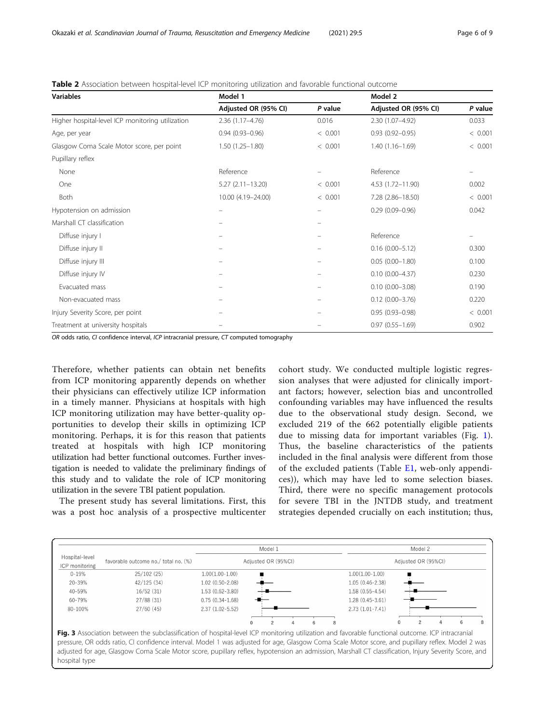| <b>Variables</b>                                 | Model 1              |         | Model 2              |         |
|--------------------------------------------------|----------------------|---------|----------------------|---------|
|                                                  | Adjusted OR (95% CI) | P value | Adjusted OR (95% CI) | P value |
| Higher hospital-level ICP monitoring utilization | $2.36(1.17 - 4.76)$  | 0.016   | 2.30 (1.07-4.92)     | 0.033   |
| Age, per year                                    | $0.94(0.93 - 0.96)$  | < 0.001 | $0.93(0.92 - 0.95)$  | < 0.001 |
| Glasgow Coma Scale Motor score, per point        | $1.50(1.25 - 1.80)$  | < 0.001 | $1.40(1.16 - 1.69)$  | < 0.001 |
| Pupillary reflex                                 |                      |         |                      |         |
| None                                             | Reference            |         | Reference            |         |
| One                                              | $5.27(2.11 - 13.20)$ | < 0.001 | 4.53 (1.72-11.90)    | 0.002   |
| Both                                             | 10.00 (4.19-24.00)   | < 0.001 | 7.28 (2.86-18.50)    | < 0.001 |
| Hypotension on admission                         |                      | -       | $0.29(0.09 - 0.96)$  | 0.042   |
| Marshall CT classification                       |                      | -       |                      |         |
| Diffuse injury I                                 |                      |         | Reference            |         |
| Diffuse injury II                                |                      |         | $0.16(0.00 - 5.12)$  | 0.300   |
| Diffuse injury III                               |                      |         | $0.05(0.00 - 1.80)$  | 0.100   |
| Diffuse injury IV                                |                      | -       | $0.10(0.00 - 4.37)$  | 0.230   |
| Evacuated mass                                   |                      |         | $0.10(0.00 - 3.08)$  | 0.190   |
| Non-evacuated mass                               |                      |         | $0.12(0.00 - 3.76)$  | 0.220   |
| Injury Severity Score, per point                 |                      |         | $0.95(0.93 - 0.98)$  | < 0.001 |
| Treatment at university hospitals                |                      |         | $0.97(0.55 - 1.69)$  | 0.902   |

<span id="page-5-0"></span>Table 2 Association between hospital-level ICP monitoring utilization and favorable functional outcome

OR odds ratio, CI confidence interval, ICP intracranial pressure, CT computed tomography

Therefore, whether patients can obtain net benefits from ICP monitoring apparently depends on whether their physicians can effectively utilize ICP information in a timely manner. Physicians at hospitals with high ICP monitoring utilization may have better-quality opportunities to develop their skills in optimizing ICP monitoring. Perhaps, it is for this reason that patients treated at hospitals with high ICP monitoring utilization had better functional outcomes. Further investigation is needed to validate the preliminary findings of this study and to validate the role of ICP monitoring utilization in the severe TBI patient population.

The present study has several limitations. First, this was a post hoc analysis of a prospective multicenter cohort study. We conducted multiple logistic regression analyses that were adjusted for clinically important factors; however, selection bias and uncontrolled confounding variables may have influenced the results due to the observational study design. Second, we excluded 219 of the 662 potentially eligible patients due to missing data for important variables (Fig. [1](#page-2-0)). Thus, the baseline characteristics of the patients included in the final analysis were different from those of the excluded patients (Table [E1](#page-7-0), web-only appendices)), which may have led to some selection biases. Third, there were no specific management protocols for severe TBI in the JNTDB study, and treatment strategies depended crucially on each institution; thus,

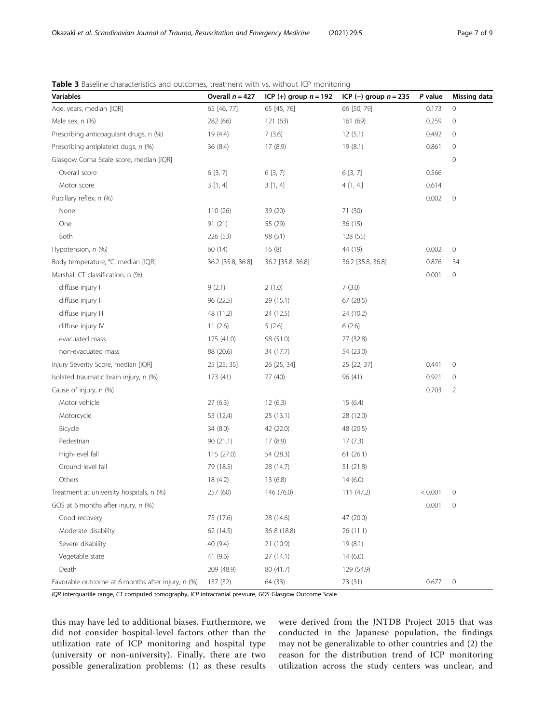| Variables                                         | Overall $n = 427$ | ICP (+) group $n = 192$ | ICP $(-)$ group $n = 235$ | P value | <b>Missing data</b> |
|---------------------------------------------------|-------------------|-------------------------|---------------------------|---------|---------------------|
| Age, years, median [IQR]                          | 65 [46, 77]       | 65 [45, 76]             | 66 [50, 79]               | 0.173   | 0                   |
| Male sex, n (%)                                   | 282 (66)          | 121 (63)                | 161 (69)                  | 0.259   | 0                   |
| Prescribing anticoagulant drugs, n (%)            | 19 (4.4)          | 7(3.6)                  | 12(5.1)                   | 0.492   | 0                   |
| Prescribing antiplatelet dugs, n (%)              | 36 (8.4)          | 17(8.9)                 | 19(8.1)                   | 0.861   | 0                   |
| Glasgow Coma Scale score, median [IQR]            |                   |                         |                           |         | 0                   |
| Overall score                                     | 6 [3, 7]          | 6 [3, 7]                | 6 [3, 7]                  | 0.566   |                     |
| Motor score                                       | 3[1, 4]           | 3[1, 4]                 | 4[1, 4]                   | 0.614   |                     |
| Pupillary reflex, n (%)                           |                   |                         |                           | 0.002   | 0                   |
| None                                              | 110 (26)          | 39 (20)                 | 71 (30)                   |         |                     |
| One                                               | 91 (21)           | 55 (29)                 | 36(15)                    |         |                     |
| Both                                              | 226 (53)          | 98 (51)                 | 128 (55)                  |         |                     |
| Hypotension, n (%)                                | 60 (14)           | 16(8)                   | 44 (19)                   | 0.002   | 0                   |
| Body temperature, °C, median [IQR]                | 36.2 [35.8, 36.8] | 36.2 [35.8, 36.8]       | 36.2 [35.8, 36.8]         | 0.876   | 34                  |
| Marshall CT classification, n (%)                 |                   |                         |                           | 0.001   | 0                   |
| diffuse injury I                                  | 9(2.1)            | 2(1.0)                  | 7(3.0)                    |         |                     |
| diffuse injury II                                 | 96 (22.5)         | 29 (15.1)               | 67(28.5)                  |         |                     |
| diffuse injury III                                | 48 (11.2)         | 24 (12.5)               | 24 (10.2)                 |         |                     |
| diffuse injury IV                                 | 11(2.6)           | 5(2.6)                  | 6(2.6)                    |         |                     |
| evacuated mass                                    | 175 (41.0)        | 98 (51.0)               | 77 (32.8)                 |         |                     |
| non-evacuated mass                                | 88 (20.6)         | 34 (17.7)               | 54 (23.0)                 |         |                     |
| Injury Severity Score, median [IQR]               | 25 [25, 35]       | 26 [25, 34]             | 25 [22, 37]               | 0.441   | 0                   |
| Isolated traumatic brain injury, n (%)            | 173 (41)          | 77 (40)                 | 96 (41)                   | 0.921   | 0                   |
| Cause of injury, n (%)                            |                   |                         |                           | 0.703   | 2                   |
| Motor vehicle                                     | 27(6.3)           | 12(6.3)                 | 15(6.4)                   |         |                     |
| Motorcycle                                        | 53 (12.4)         | 25 (13.1)               | 28 (12.0)                 |         |                     |
| Bicycle                                           | 34 (8.0)          | 42 (22.0)               | 48 (20.5)                 |         |                     |
| Pedestrian                                        | 90(21.1)          | 17 (8.9)                | 17(7.3)                   |         |                     |
| High-level fall                                   | 115 (27.0)        | 54 (28.3)               | 61(26.1)                  |         |                     |
| Ground-level fall                                 | 79 (18.5)         | 28 (14.7)               | 51 (21.8)                 |         |                     |
| Others                                            | 18 (4.2)          | 13 (6.8)                | 14(6.0)                   |         |                     |
| Treatment at university hospitals, n (%)          | 257 (60)          | 146 (76.0)              | 111(47.2)                 | < 0.001 | 0                   |
| GOS at 6 months after injury, n (%)               |                   |                         |                           | 0.001   | $\mathbf 0$         |
| Good recovery                                     | 75 (17.6)         | 28 (14.6)               | 47 (20.0)                 |         |                     |
| Moderate disability                               | 62 (14.5)         | 36 8 (18.8)             | 26(11.1)                  |         |                     |
| Severe disability                                 | 40 (9.4)          | 21 (10.9)               | 19(8.1)                   |         |                     |
| Vegetable state                                   | 41 (9.6)          | 27(14.1)                | 14(6.0)                   |         |                     |
| Death                                             | 209 (48.9)        | 80 (41.7)               | 129 (54.9)                |         |                     |
| Favorable outcome at 6 months after injury, n (%) | 137 (32)          | 64 (33)                 | 73 (31)                   | 0.677   | $\overline{0}$      |

<span id="page-6-0"></span>**Table 3** Baseline characteristics and outcomes, treatment with vs. without ICP monitoring

IQR interquartile range, CT computed tomography, ICP intracranial pressure, GOS Glasgow Outcome Scale

this may have led to additional biases. Furthermore, we did not consider hospital-level factors other than the utilization rate of ICP monitoring and hospital type (university or non-university). Finally, there are two possible generalization problems: (1) as these results were derived from the JNTDB Project 2015 that was conducted in the Japanese population, the findings may not be generalizable to other countries and (2) the reason for the distribution trend of ICP monitoring utilization across the study centers was unclear, and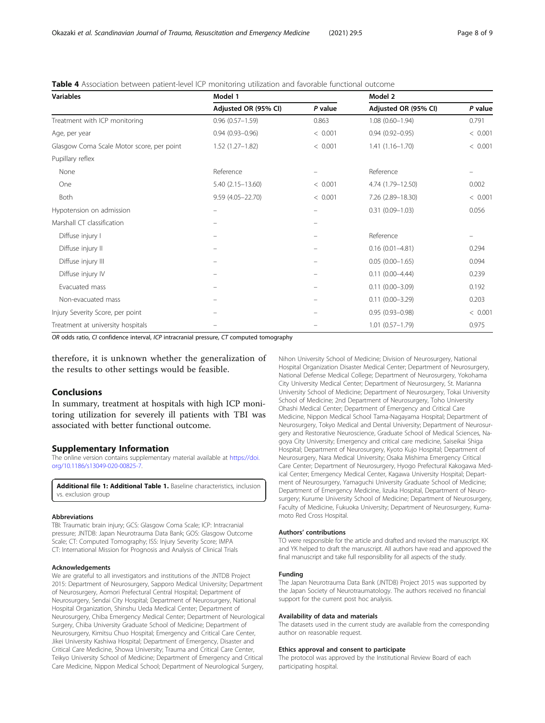| <b>Variables</b>                          | Model 1              |         | Model 2              |         |
|-------------------------------------------|----------------------|---------|----------------------|---------|
|                                           | Adjusted OR (95% CI) | P value | Adjusted OR (95% CI) | P value |
| Treatment with ICP monitoring             | $0.96(0.57 - 1.59)$  | 0.863   | $1.08(0.60 - 1.94)$  | 0.791   |
| Age, per year                             | $0.94(0.93 - 0.96)$  | < 0.001 | $0.94(0.92 - 0.95)$  | < 0.001 |
| Glasgow Coma Scale Motor score, per point | $1.52(1.27 - 1.82)$  | < 0.001 | $1.41(1.16 - 1.70)$  | < 0.001 |
| Pupillary reflex                          |                      |         |                      |         |
| None                                      | Reference            |         | Reference            |         |
| One                                       | $5.40(2.15 - 13.60)$ | < 0.001 | 4.74 (1.79-12.50)    | 0.002   |
| Both                                      | $9.59(4.05 - 22.70)$ | < 0.001 | 7.26 (2.89-18.30)    | < 0.001 |
| Hypotension on admission                  |                      |         | $0.31(0.09 - 1.03)$  | 0.056   |
| Marshall CT classification                |                      |         |                      |         |
| Diffuse injury I                          |                      |         | Reference            |         |
| Diffuse injury II                         |                      |         | $0.16(0.01 - 4.81)$  | 0.294   |
| Diffuse injury III                        |                      |         | $0.05(0.00 - 1.65)$  | 0.094   |
| Diffuse injury IV                         |                      |         | $0.11(0.00 - 4.44)$  | 0.239   |
| Evacuated mass                            |                      |         | $0.11(0.00 - 3.09)$  | 0.192   |
| Non-evacuated mass                        |                      |         | $0.11(0.00 - 3.29)$  | 0.203   |
| Injury Severity Score, per point          |                      |         | $0.95(0.93 - 0.98)$  | < 0.001 |
| Treatment at university hospitals         |                      |         | $1.01(0.57 - 1.79)$  | 0.975   |

<span id="page-7-0"></span>Table 4 Association between patient-level ICP monitoring utilization and favorable functional outcome

OR odds ratio, CI confidence interval, ICP intracranial pressure, CT computed tomography

therefore, it is unknown whether the generalization of the results to other settings would be feasible.

# Conclusions

In summary, treatment at hospitals with high ICP monitoring utilization for severely ill patients with TBI was associated with better functional outcome.

# Supplementary Information

The online version contains supplementary material available at [https://doi.](https://doi.org/10.1186/s13049-020-00825-7) [org/10.1186/s13049-020-00825-7.](https://doi.org/10.1186/s13049-020-00825-7)

Additional file 1: Additional Table 1. Baseline characteristics, inclusion vs. exclusion group

#### Abbreviations

TBI: Traumatic brain injury; GCS: Glasgow Coma Scale; ICP: Intracranial pressure; JNTDB: Japan Neurotrauma Data Bank; GOS: Glasgow Outcome Scale; CT: Computed Tomography; ISS: Injury Severity Score; IMPA CT: International Mission for Prognosis and Analysis of Clinical Trials

#### Acknowledgements

We are grateful to all investigators and institutions of the JNTDB Project 2015: Department of Neurosurgery, Sapporo Medical University; Department of Neurosurgery, Aomori Prefectural Central Hospital; Department of Neurosurgery, Sendai City Hospital; Department of Neurosurgery, National Hospital Organization, Shinshu Ueda Medical Center; Department of Neurosurgery, Chiba Emergency Medical Center; Department of Neurological Surgery, Chiba University Graduate School of Medicine; Department of Neurosurgery, Kimitsu Chuo Hospital; Emergency and Critical Care Center, Jikei University Kashiwa Hospital; Department of Emergency, Disaster and Critical Care Medicine, Showa University; Trauma and Critical Care Center, Teikyo University School of Medicine; Department of Emergency and Critical Care Medicine, Nippon Medical School; Department of Neurological Surgery, Nihon University School of Medicine; Division of Neurosurgery, National Hospital Organization Disaster Medical Center; Department of Neurosurgery, National Defense Medical College; Department of Neurosurgery, Yokohama City University Medical Center; Department of Neurosurgery, St. Marianna University School of Medicine; Department of Neurosurgery, Tokai University School of Medicine; 2nd Department of Neurosurgery, Toho University Ohashi Medical Center; Department of Emergency and Critical Care Medicine, Nippon Medical School Tama-Nagayama Hospital; Department of Neurosurgery, Tokyo Medical and Dental University; Department of Neurosurgery and Restorative Neuroscience, Graduate School of Medical Sciences, Nagoya City University; Emergency and critical care medicine, Saiseikai Shiga Hospital; Department of Neurosurgery, Kyoto Kujo Hospital; Department of Neurosurgery, Nara Medical University; Osaka Mishima Emergency Critical Care Center; Department of Neurosurgery, Hyogo Prefectural Kakogawa Medical Center; Emergency Medical Center, Kagawa University Hospital; Department of Neurosurgery, Yamaguchi University Graduate School of Medicine; Department of Emergency Medicine, Iizuka Hospital, Department of Neurosurgery; Kurume University School of Medicine; Department of Neurosurgery, Faculty of Medicine, Fukuoka University; Department of Neurosurgery, Kumamoto Red Cross Hospital.

#### Authors' contributions

TO were responsible for the article and drafted and revised the manuscript. KK and YK helped to draft the manuscript. All authors have read and approved the final manuscript and take full responsibility for all aspects of the study.

#### Funding

The Japan Neurotrauma Data Bank (JNTDB) Project 2015 was supported by the Japan Society of Neurotraumatology. The authors received no financial support for the current post hoc analysis.

#### Availability of data and materials

The datasets used in the current study are available from the corresponding author on reasonable request.

#### Ethics approval and consent to participate

The protocol was approved by the Institutional Review Board of each participating hospital.